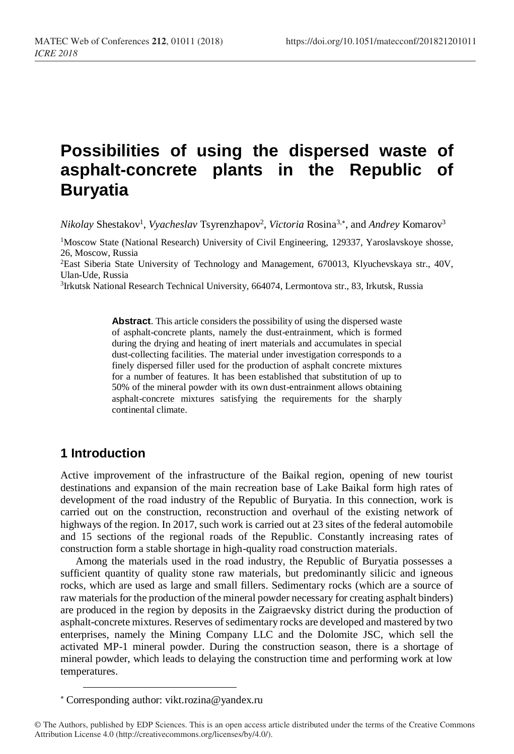# **Possibilities of using the dispersed waste of asphalt-concrete plants in the Republic of Buryatia**

*Nikolay Shestakov<sup>1</sup>, Vyacheslav Tsyrenzhapov<sup>2</sup>, <i>Victoria Rosina<sup>3,\*</sup>, and Andrey Komarov<sup>3</sup>* 

<sup>1</sup>Moscow State (National Research) University of Civil Engineering, 129337, Yaroslavskoye shosse, 26, Moscow, Russia <sup>2</sup>East Siberia State University of Technology and Management, 670013, Klyuchevskaya str., 40V, Ulan-Ude, Russia

3 Irkutsk National Research Technical University, 664074, Lermontova str., 83, Irkutsk, Russia

**Abstract**. This article considers the possibility of using the dispersed waste of asphalt-concrete plants, namely the dust-entrainment, which is formed during the drying and heating of inert materials and accumulates in special dust-collecting facilities. The material under investigation corresponds to a finely dispersed filler used for the production of asphalt concrete mixtures for a number of features. It has been established that substitution of up to 50% of the mineral powder with its own dust-entrainment allows obtaining asphalt-concrete mixtures satisfying the requirements for the sharply continental climate.

#### **1 Introduction**

 $\overline{a}$ 

Active improvement of the infrastructure of the Baikal region, opening of new tourist destinations and expansion of the main recreation base of Lake Baikal form high rates of development of the road industry of the Republic of Buryatia. In this connection, work is carried out on the construction, reconstruction and overhaul of the existing network of highways of the region. In 2017, such work is carried out at 23 sites of the federal automobile and 15 sections of the regional roads of the Republic. Constantly increasing rates of construction form a stable shortage in high-quality road construction materials.

Among the materials used in the road industry, the Republic of Buryatia possesses a sufficient quantity of quality stone raw materials, but predominantly silicic and igneous rocks, which are used as large and small fillers. Sedimentary rocks (which are a source of raw materials for the production of the mineral powder necessary for creating asphalt binders) are produced in the region by deposits in the Zaigraevsky district during the production of asphalt-concrete mixtures. Reserves of sedimentary rocks are developed and mastered by two enterprises, namely the Mining Company LLC and the Dolomite JSC, which sell the activated MP-1 mineral powder. During the construction season, there is a shortage of mineral powder, which leads to delaying the construction time and performing work at low temperatures.

Corresponding author: [vikt.rozina@yandex.ru](mailto:vikt.rozina@yandex.ru)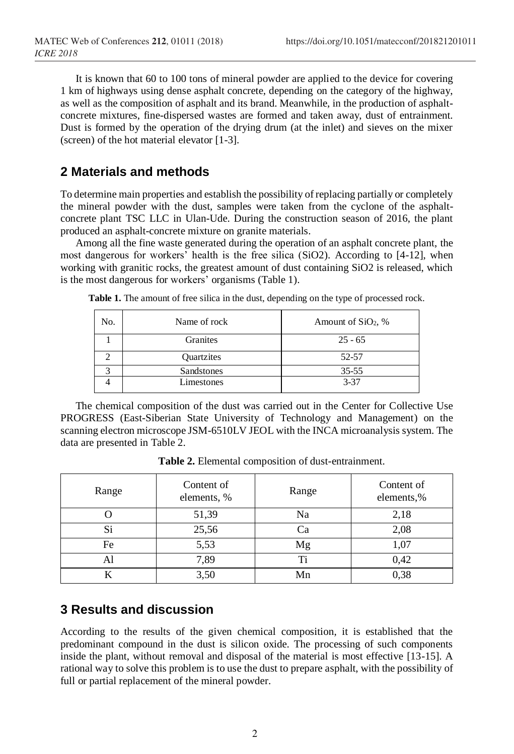It is known that 60 to 100 tons of mineral powder are applied to the device for covering 1 km of highways using dense asphalt concrete, depending on the category of the highway, as well as the composition of asphalt and its brand. Meanwhile, in the production of asphaltconcrete mixtures, fine-dispersed wastes are formed and taken away, dust of entrainment. Dust is formed by the operation of the drying drum (at the inlet) and sieves on the mixer (screen) of the hot material elevator [1-3].

### **2 Materials and methods**

To determine main properties and establish the possibility of replacing partially or completely the mineral powder with the dust, samples were taken from the cyclone of the asphaltconcrete plant TSC LLC in Ulan-Ude. During the construction season of 2016, the plant produced an asphalt-concrete mixture on granite materials.

Among all the fine waste generated during the operation of an asphalt concrete plant, the most dangerous for workers' health is the free silica (SiO2). According to [4-12], when working with granitic rocks, the greatest amount of dust containing SiO2 is released, which is the most dangerous for workers' organisms (Table 1).

| No. | Name of rock | Amount of $SiO2$ , % |  |  |
|-----|--------------|----------------------|--|--|
|     | Granites     | $25 - 65$            |  |  |
|     | Quartzites   | 52-57                |  |  |
|     | Sandstones   | $35 - 55$            |  |  |
|     | Limestones   | $3 - 37$             |  |  |

Table 1. The amount of free silica in the dust, depending on the type of processed rock.

The chemical composition of the dust was carried out in the Center for Collective Use PROGRESS (East-Siberian State University of Technology and Management) on the scanning electron microscope JSM-6510LV JEOL with the INCA microanalysis system. The data are presented in Table 2.

| Range | Content of<br>elements, % | Range | Content of<br>elements,% |
|-------|---------------------------|-------|--------------------------|
|       | 51,39                     | Na    | 2,18                     |
| Si    | 25,56                     | Ca    | 2,08                     |
| Fe    | 5,53                      | Mg    | 1,07                     |
| Al    | 7,89                      | Ti    | 0,42                     |
|       | 3,50                      | Mn    | 0,38                     |

**Table 2.** Elemental composition of dust-entrainment.

#### **3 Results and discussion**

According to the results of the given chemical composition, it is established that the predominant compound in the dust is silicon oxide. The processing of such components inside the plant, without removal and disposal of the material is most effective [13-15]. A rational way to solve this problem is to use the dust to prepare asphalt, with the possibility of full or partial replacement of the mineral powder.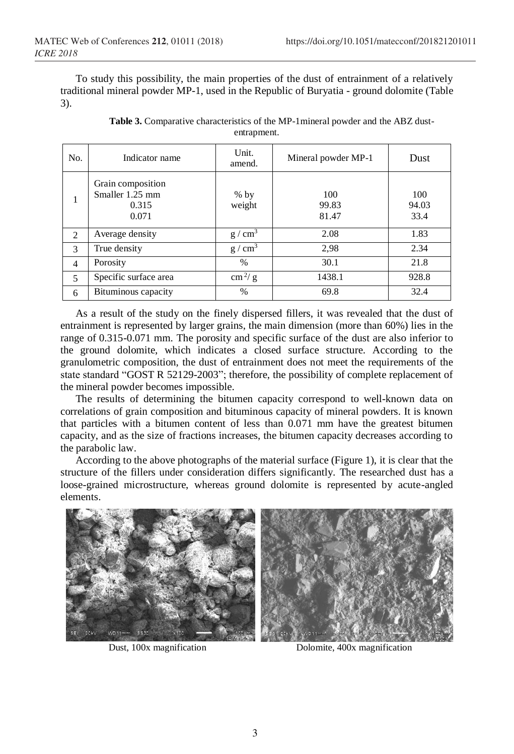To study this possibility, the main properties of the dust of entrainment of a relatively traditional mineral powder MP-1, used in the Republic of Buryatia - ground dolomite (Table 3).

| No.            | Indicator name                                         | Unit.<br>amend.        | Mineral powder MP-1   | Dust                 |
|----------------|--------------------------------------------------------|------------------------|-----------------------|----------------------|
| -              | Grain composition<br>Smaller 1.25 mm<br>0.315<br>0.071 | $%$ by<br>weight       | 100<br>99.83<br>81.47 | 100<br>94.03<br>33.4 |
| 2              | Average density                                        | g/cm <sup>3</sup>      | 2.08                  | 1.83                 |
| 3              | True density                                           | $g/cm^3$               | 2,98                  | 2.34                 |
| $\overline{4}$ | Porosity                                               | $\%$                   | 30.1                  | 21.8                 |
| 5              | Specific surface area                                  | $\text{cm}^2/\text{g}$ | 1438.1                | 928.8                |
| 6              | Bituminous capacity                                    | $\%$                   | 69.8                  | 32.4                 |

**Table 3.** Comparative characteristics of the MP-1mineral powder and the ABZ dustentrapment.

As a result of the study on the finely dispersed fillers, it was revealed that the dust of entrainment is represented by larger grains, the main dimension (more than 60%) lies in the range of 0.315-0.071 mm. The porosity and specific surface of the dust are also inferior to the ground dolomite, which indicates a closed surface structure. According to the granulometric composition, the dust of entrainment does not meet the requirements of the state standard "GOST R 52129-2003"; therefore, the possibility of complete replacement of the mineral powder becomes impossible.

The results of determining the bitumen capacity correspond to well-known data on correlations of grain composition and bituminous capacity of mineral powders. It is known that particles with a bitumen content of less than 0.071 mm have the greatest bitumen capacity, and as the size of fractions increases, the bitumen capacity decreases according to the parabolic law.

According to the above photographs of the material surface (Figure 1), it is clear that the structure of the fillers under consideration differs significantly. The researched dust has a loose-grained microstructure, whereas ground dolomite is represented by acute-angled elements.



Dust, 100x magnification Dolomite, 400x magnification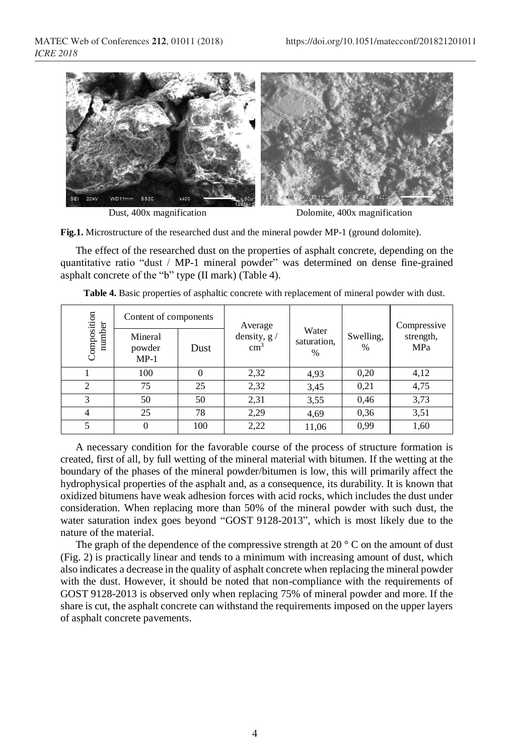

Dust, 400x magnification Dolomite, 400x magnification

**Fig.1.** Microstructure of the researched dust and the mineral powder MP-1 (ground dolomite).

The effect of the researched dust on the properties of asphalt concrete, depending on the quantitative ratio "dust / MP-1 mineral powder" was determined on dense fine-grained asphalt concrete of the "b" type (II mark) (Table 4).

| Composition<br>number | Content of components       |      | Average<br>density, $g /$<br>$\text{cm}^3$ | Water<br>saturation,<br>$\%$ | Swelling,<br>% | Compressive<br>strength,<br>MPa |
|-----------------------|-----------------------------|------|--------------------------------------------|------------------------------|----------------|---------------------------------|
|                       | Mineral<br>powder<br>$MP-1$ | Dust |                                            |                              |                |                                 |
|                       | 100                         | 0    | 2,32                                       | 4,93                         | 0,20           | 4,12                            |
| $\overline{c}$        | 75                          | 25   | 2,32                                       | 3,45                         | 0,21           | 4,75                            |
| 3                     | 50                          | 50   | 2,31                                       | 3,55                         | 0,46           | 3,73                            |
|                       | 25                          | 78   | 2,29                                       | 4,69                         | 0,36           | 3,51                            |
|                       | 0                           | 100  | 2,22                                       | 11,06                        | 0.99           | 1,60                            |

**Table 4.** Basic properties of asphaltic concrete with replacement of mineral powder with dust.

A necessary condition for the favorable course of the process of structure formation is created, first of all, by full wetting of the mineral material with bitumen. If the wetting at the boundary of the phases of the mineral powder/bitumen is low, this will primarily affect the hydrophysical properties of the asphalt and, as a consequence, its durability. It is known that oxidized bitumens have weak adhesion forces with acid rocks, which includes the dust under consideration. When replacing more than 50% of the mineral powder with such dust, the water saturation index goes beyond "GOST 9128-2013", which is most likely due to the nature of the material.

The graph of the dependence of the compressive strength at 20 $\degree$  C on the amount of dust (Fig. 2) is practically linear and tends to a minimum with increasing amount of dust, which also indicates a decrease in the quality of asphalt concrete when replacing the mineral powder with the dust. However, it should be noted that non-compliance with the requirements of GOST 9128-2013 is observed only when replacing 75% of mineral powder and more. If the share is cut, the asphalt concrete can withstand the requirements imposed on the upper layers of asphalt concrete pavements.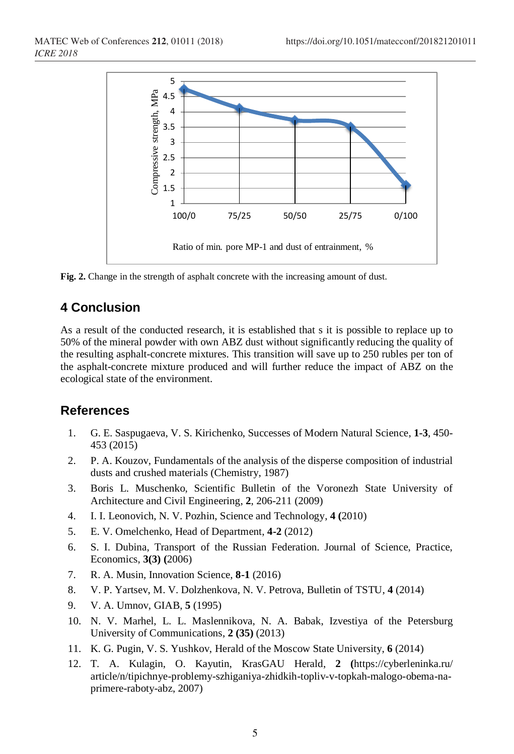

**Fig. 2.** Change in the strength of asphalt concrete with the increasing amount of dust.

## **4 Conclusion**

As a result of the conducted research, it is established that s it is possible to replace up to 50% of the mineral powder with own ABZ dust without significantly reducing the quality of the resulting asphalt-concrete mixtures. This transition will save up to 250 rubles per ton of the asphalt-concrete mixture produced and will further reduce the impact of ABZ on the ecological state of the environment.

#### **References**

- 1. G. E. Saspugaeva, V. S. Kirichenko, Successes of Modern Natural Science, **1-3**, 450- 453 (2015)
- 2. P. A. Kouzov, Fundamentals of the analysis of the disperse composition of industrial dusts and crushed materials (Chemistry, 1987)
- 3. Boris L. Muschenko, Scientific Bulletin of the Voronezh State University of Architecture and Civil Engineering, **2**, 206-211 (2009)
- 4. I. I. Leonovich, N. V. Pozhin, Science and Technology, **4 (**2010)
- 5. E. V. Omelchenko, Head of Department, **4-2** (2012)
- 6. S. I. Dubina, Transport of the Russian Federation. Journal of Science, Practice, Economics, **3(3) (**2006)
- 7. R. A. Musin, Innovation Science, **8-1** (2016)
- 8. V. P. Yartsev, M. V. Dolzhenkova, N. V. Petrova, Bulletin of TSTU, **4** (2014)
- 9. V. A. Umnov, GIAB, **5** (1995)
- 10. N. V. Marhel, L. L. Maslennikova, N. A. Babak, Izvestiya of the Petersburg University of Communications, **2 (35)** (2013)
- 11. K. G. Pugin, V. S. Yushkov, Herald of the Moscow State University, **6** (2014)
- 12. T. A. Kulagin, O. Kayutin, KrasGAU Herald, **2 (**https://cyberleninka.ru/ article/n/tipichnye-problemy-szhiganiya-zhidkih-topliv-v-topkah-malogo-obema-naprimere-raboty-abz, 2007)